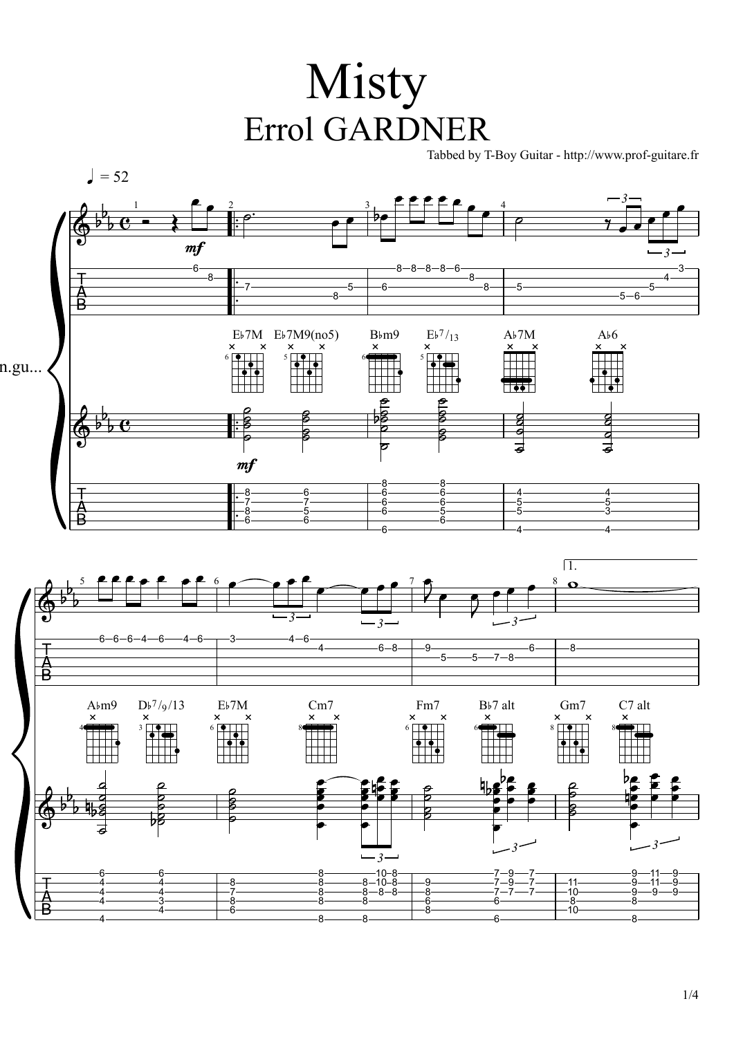## Misty Errol GARDNER

Tabbed by T-Boy Guitar - http://www.prof-guitare.fr



1/4

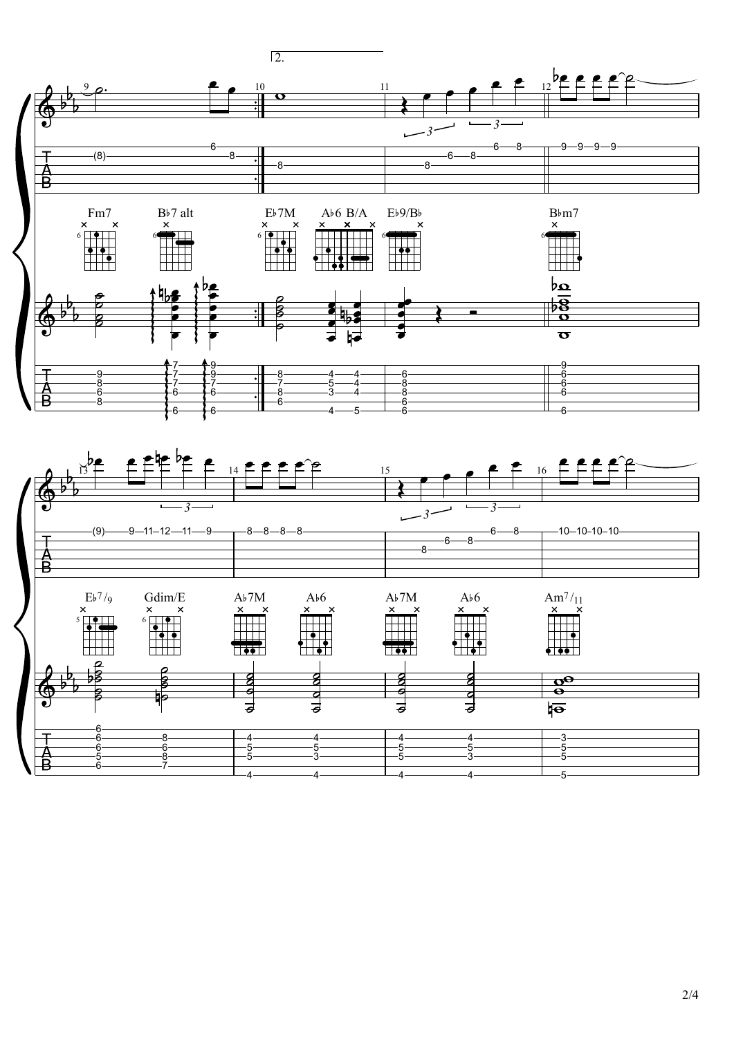

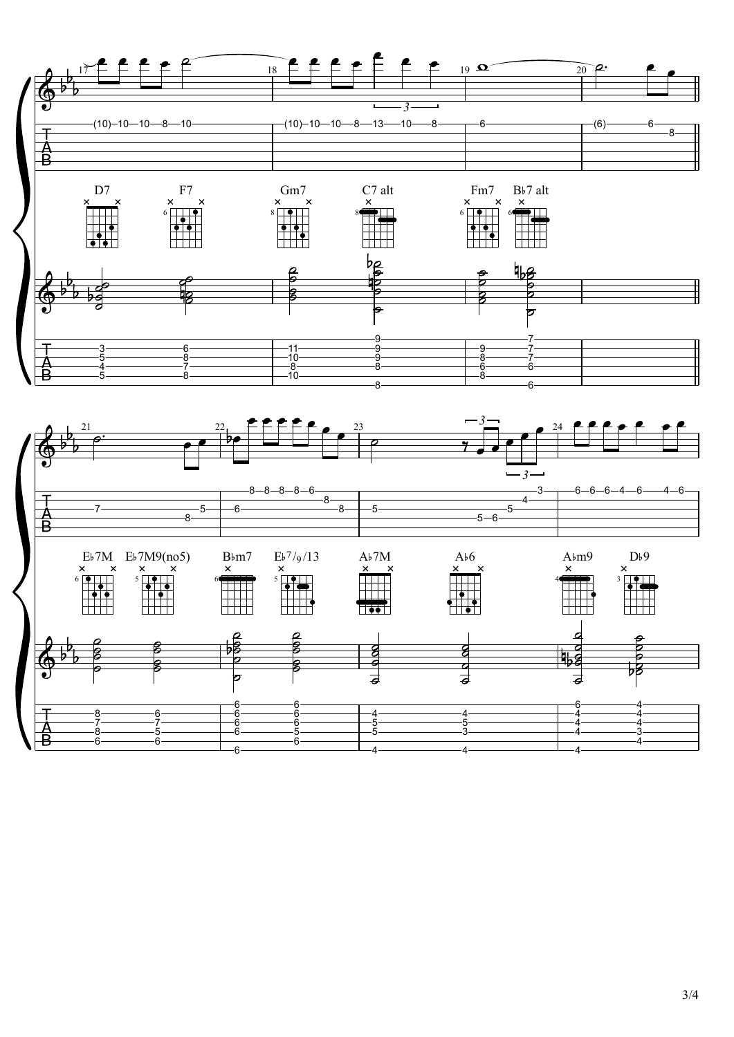3/4